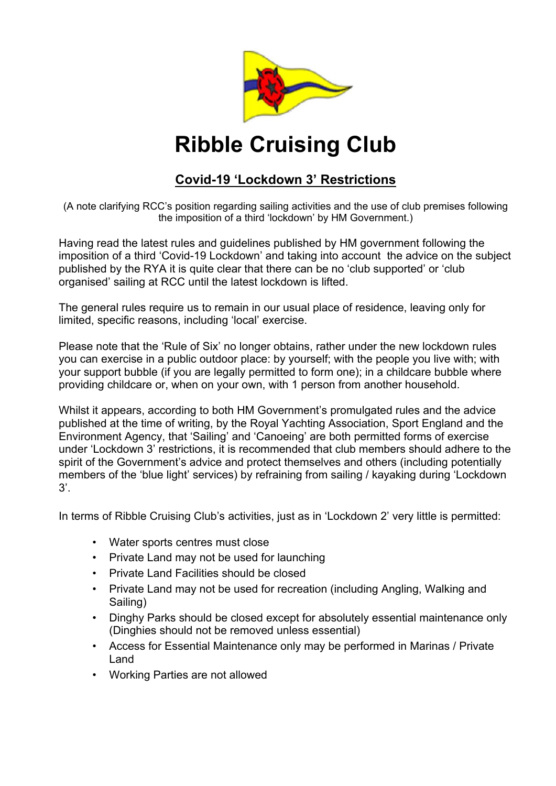

## **Ribble Cruising Club**

## **Covid-19 'Lockdown 3' Restrictions**

(A note clarifying RCC's position regarding sailing activities and the use of club premises following the imposition of a third 'lockdown' by HM Government.)

Having read the latest rules and guidelines published by HM government following the imposition of a third 'Covid-19 Lockdown' and taking into account the advice on the subject published by the RYA it is quite clear that there can be no 'club supported' or 'club organised' sailing at RCC until the latest lockdown is lifted.

The general rules require us to remain in our usual place of residence, leaving only for limited, specific reasons, including 'local' exercise.

Please note that the 'Rule of Six' no longer obtains, rather under the new lockdown rules you can exercise in a public outdoor place: by yourself; with the people you live with; with your support bubble (if you are legally permitted to form one); in a childcare bubble where providing childcare or, when on your own, with 1 person from another household.

Whilst it appears, according to both HM Government's promulgated rules and the advice published at the time of writing, by the Royal Yachting Association, Sport England and the Environment Agency, that 'Sailing' and 'Canoeing' are both permitted forms of exercise under 'Lockdown 3' restrictions, it is recommended that club members should adhere to the spirit of the Government's advice and protect themselves and others (including potentially members of the 'blue light' services) by refraining from sailing / kayaking during 'Lockdown 3'.

In terms of Ribble Cruising Club's activities, just as in 'Lockdown 2' very little is permitted:

- Water sports centres must close
- Private Land may not be used for launching
- Private Land Facilities should be closed
- Private Land may not be used for recreation (including Angling, Walking and Sailing)
- Dinghy Parks should be closed except for absolutely essential maintenance only (Dinghies should not be removed unless essential)
- Access for Essential Maintenance only may be performed in Marinas / Private Land
- Working Parties are not allowed